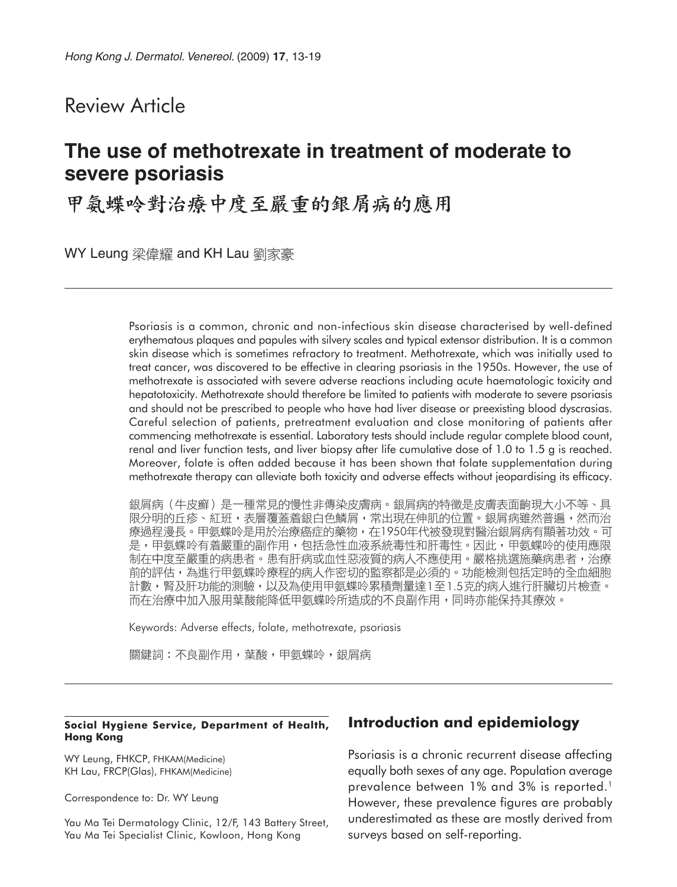## Review Article

# **The use of methotrexate in treatment of moderate to severe psoriasis**

甲氨蝶呤對治療中度至嚴重的銀屑病的應用

WY Leung 梁偉耀 and KH Lau 劉家豪

Psoriasis is a common, chronic and non-infectious skin disease characterised by well-defined erythematous plaques and papules with silvery scales and typical extensor distribution. It is a common skin disease which is sometimes refractory to treatment. Methotrexate, which was initially used to treat cancer, was discovered to be effective in clearing psoriasis in the 1950s. However, the use of methotrexate is associated with severe adverse reactions including acute haematologic toxicity and hepatotoxicity. Methotrexate should therefore be limited to patients with moderate to severe psoriasis and should not be prescribed to people who have had liver disease or preexisting blood dyscrasias. Careful selection of patients, pretreatment evaluation and close monitoring of patients after commencing methotrexate is essential. Laboratory tests should include regular complete blood count, renal and liver function tests, and liver biopsy after life cumulative dose of 1.0 to 1.5 g is reached. Moreover, folate is often added because it has been shown that folate supplementation during methotrexate therapy can alleviate both toxicity and adverse effects without jeopardising its efficacy.

銀屑病(牛皮癬)是一種常見的慢性非傳染皮膚病。銀屑病的特徵是皮膚表面齣現大小不等、具 限分明的丘疹、紅班,表層覆蓋着銀白色鱗屑,常出現在伸肌的位置。銀屑病雖然普遍,然而治 療過程漫長。甲氨蝶呤是用於治療癌症的藥物,在1950年代被發現對醫治銀屑病有顯著功效。可 是,甲氨蝶呤有着嚴重的副作用,包括急性血液系統毒性和肝毒性。因此,甲氨蝶呤的使用應限 制在中度至嚴重的病患者。患有肝病或血性惡液質的病人不應使用。嚴格挑選施藥病患者,治療 前的評估,為進行甲氨蝶呤療程的病人作密切的監察都是必須的。功能檢測包括定時的全血細胞 計數,腎及肝功能的測驗,以及為使用甲氨蝶呤累積劑量達1至1.5克的病人進行肝臟切片檢查。 而在治療中加入服用葉酸能降低甲氨蝶呤所造成的不良副作用,同時亦能保持其療效。

Keywords: Adverse effects, folate, methotrexate, psoriasis

關鍵詞:不良副作用,葉酸,甲氨蝶呤,銀屑病

#### **Social Hygiene Service, Department of Health, Hong Kong**

WY Leung, FHKCP, FHKAM(Medicine) KH Lau, FRCP(Glas), FHKAM(Medicine)

Correspondence to: Dr. WY Leung

Yau Ma Tei Dermatology Clinic, 12/F, 143 Battery Street, Yau Ma Tei Specialist Clinic, Kowloon, Hong Kong

## **Introduction and epidemiology**

Psoriasis is a chronic recurrent disease affecting equally both sexes of any age. Population average prevalence between 1% and 3% is reported.<sup>1</sup> However, these prevalence figures are probably underestimated as these are mostly derived from surveys based on self-reporting.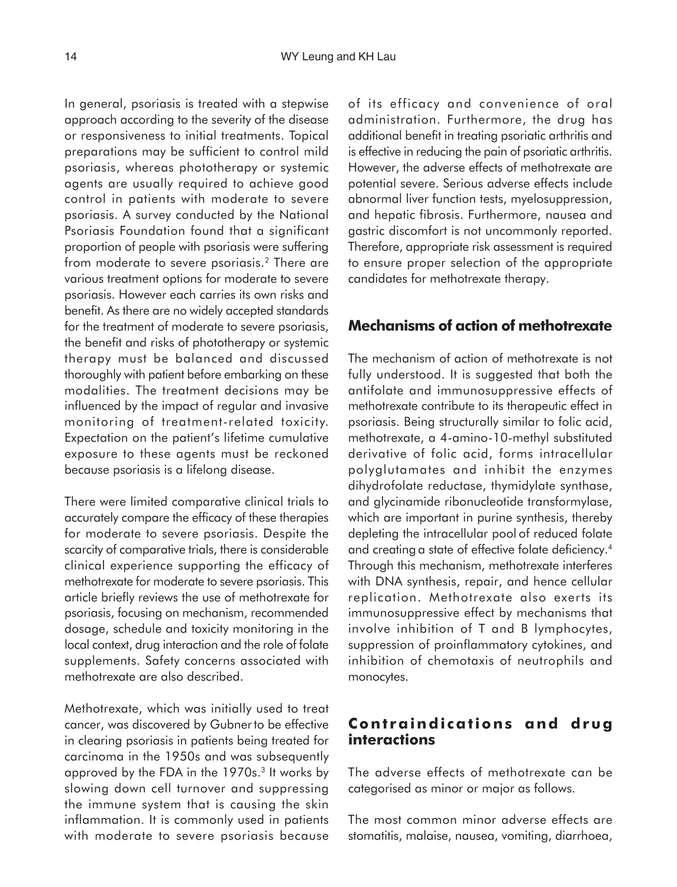In general, psoriasis is treated with a stepwise approach according to the severity of the disease or responsiveness to initial treatments. Topical preparations may be sufficient to control mild psoriasis, whereas phototherapy or systemic agents are usually required to achieve good control in patients with moderate to severe psoriasis. A survey conducted by the National Psoriasis Foundation found that a significant proportion of people with psoriasis were suffering from moderate to severe psoriasis.2 There are various treatment options for moderate to severe psoriasis. However each carries its own risks and benefit. As there are no widely accepted standards for the treatment of moderate to severe psoriasis, the benefit and risks of phototherapy or systemic therapy must be balanced and discussed thoroughly with patient before embarking on these modalities. The treatment decisions may be influenced by the impact of regular and invasive monitoring of treatment-related toxicity. Expectation on the patient's lifetime cumulative exposure to these agents must be reckoned because psoriasis is a lifelong disease.

There were limited comparative clinical trials to accurately compare the efficacy of these therapies for moderate to severe psoriasis. Despite the scarcity of comparative trials, there is considerable clinical experience supporting the efficacy of methotrexate for moderate to severe psoriasis. This article briefly reviews the use of methotrexate for psoriasis, focusing on mechanism, recommended dosage, schedule and toxicity monitoring in the local context, drug interaction and the role of folate supplements. Safety concerns associated with methotrexate are also described.

Methotrexate, which was initially used to treat cancer, was discovered by Gubnerto be effective in clearing psoriasis in patients being treated for carcinoma in the 1950s and was subsequently approved by the FDA in the 1970s.<sup>3</sup> It works by slowing down cell turnover and suppressing the immune system that is causing the skin inflammation. It is commonly used in patients with moderate to severe psoriasis because

of its efficacy and convenience of oral administration. Furthermore, the drug has additional benefit in treating psoriatic arthritis and is effective in reducing the pain of psoriatic arthritis. However, the adverse effects of methotrexate are potential severe. Serious adverse effects include abnormal liver function tests, myelosuppression, and hepatic fibrosis. Furthermore, nausea and gastric discomfort is not uncommonly reported. Therefore, appropriate risk assessment is required to ensure proper selection of the appropriate candidates for methotrexate therapy.

### **Mechanisms of action of methotrexate**

The mechanism of action of methotrexate is not fully understood. It is suggested that both the antifolate and immunosuppressive effects of methotrexate contribute to its therapeutic effect in psoriasis. Being structurally similar to folic acid, methotrexate, a 4-amino-10-methyl substituted derivative of folic acid, forms intracellular polyglutamates and inhibit the enzymes dihydrofolate reductase, thymidylate synthase, and glycinamide ribonucleotide transformylase, which are important in purine synthesis, thereby depleting the intracellular pool of reduced folate and creating a state of effective folate deficiency.4 Through this mechanism, methotrexate interferes with DNA synthesis, repair, and hence cellular replication. Methotrexate also exerts its immunosuppressive effect by mechanisms that involve inhibition of T and B lymphocytes, suppression of proinflammatory cytokines, and inhibition of chemotaxis of neutrophils and monocytes.

### **Contraindications and drug interactions**

The adverse effects of methotrexate can be categorised as minor or major as follows.

The most common minor adverse effects are stomatitis, malaise, nausea, vomiting, diarrhoea,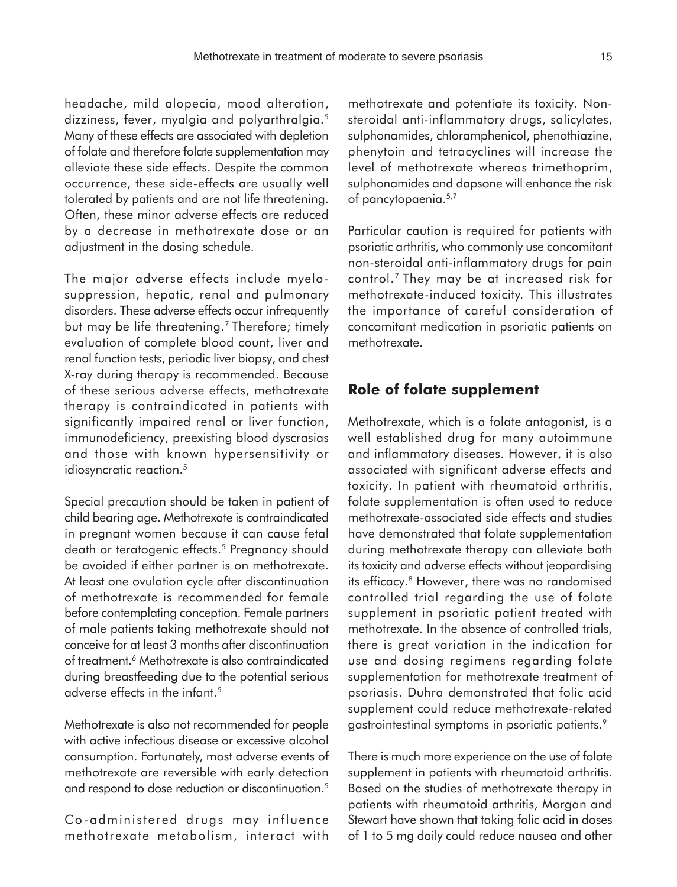headache, mild alopecia, mood alteration, dizziness, fever, myalgia and polyarthralgia.5 Many of these effects are associated with depletion of folate and therefore folate supplementation may alleviate these side effects. Despite the common occurrence, these side-effects are usually well tolerated by patients and are not life threatening. Often, these minor adverse effects are reduced by a decrease in methotrexate dose or an adjustment in the dosing schedule.

The major adverse effects include myelosuppression, hepatic, renal and pulmonary disorders. These adverse effects occur infrequently but may be life threatening.<sup>7</sup> Therefore; timely evaluation of complete blood count, liver and renal function tests, periodic liver biopsy, and chest X-ray during therapy is recommended. Because of these serious adverse effects, methotrexate therapy is contraindicated in patients with significantly impaired renal or liver function, immunodeficiency, preexisting blood dyscrasias and those with known hypersensitivity or idiosyncratic reaction.<sup>5</sup>

Special precaution should be taken in patient of child bearing age. Methotrexate is contraindicated in pregnant women because it can cause fetal death or teratogenic effects.<sup>5</sup> Pregnancy should be avoided if either partner is on methotrexate. At least one ovulation cycle after discontinuation of methotrexate is recommended for female before contemplating conception. Female partners of male patients taking methotrexate should not conceive for at least 3 months after discontinuation of treatment.6 Methotrexate is also contraindicated during breastfeeding due to the potential serious adverse effects in the infant.5

Methotrexate is also not recommended for people with active infectious disease or excessive alcohol consumption. Fortunately, most adverse events of methotrexate are reversible with early detection and respond to dose reduction or discontinuation.<sup>5</sup>

Co-administered drugs may influence methotrexate metabolism, interact with methotrexate and potentiate its toxicity. Nonsteroidal anti-inflammatory drugs, salicylates, sulphonamides, chloramphenicol, phenothiazine, phenytoin and tetracyclines will increase the level of methotrexate whereas trimethoprim, sulphonamides and dapsone will enhance the risk of pancytopaenia.5,7

Particular caution is required for patients with psoriatic arthritis, who commonly use concomitant non-steroidal anti-inflammatory drugs for pain control.7 They may be at increased risk for methotrexate-induced toxicity. This illustrates the importance of careful consideration of concomitant medication in psoriatic patients on methotrexate.

### **Role of folate supplement**

Methotrexate, which is a folate antagonist, is a well established drug for many autoimmune and inflammatory diseases. However, it is also associated with significant adverse effects and toxicity. In patient with rheumatoid arthritis, folate supplementation is often used to reduce methotrexate-associated side effects and studies have demonstrated that folate supplementation during methotrexate therapy can alleviate both its toxicity and adverse effects without jeopardising its efficacy.<sup>8</sup> However, there was no randomised controlled trial regarding the use of folate supplement in psoriatic patient treated with methotrexate. In the absence of controlled trials, there is great variation in the indication for use and dosing regimens regarding folate supplementation for methotrexate treatment of psoriasis. Duhra demonstrated that folic acid supplement could reduce methotrexate-related gastrointestinal symptoms in psoriatic patients.<sup>9</sup>

There is much more experience on the use of folate supplement in patients with rheumatoid arthritis. Based on the studies of methotrexate therapy in patients with rheumatoid arthritis, Morgan and Stewart have shown that taking folic acid in doses of 1 to 5 mg daily could reduce nausea and other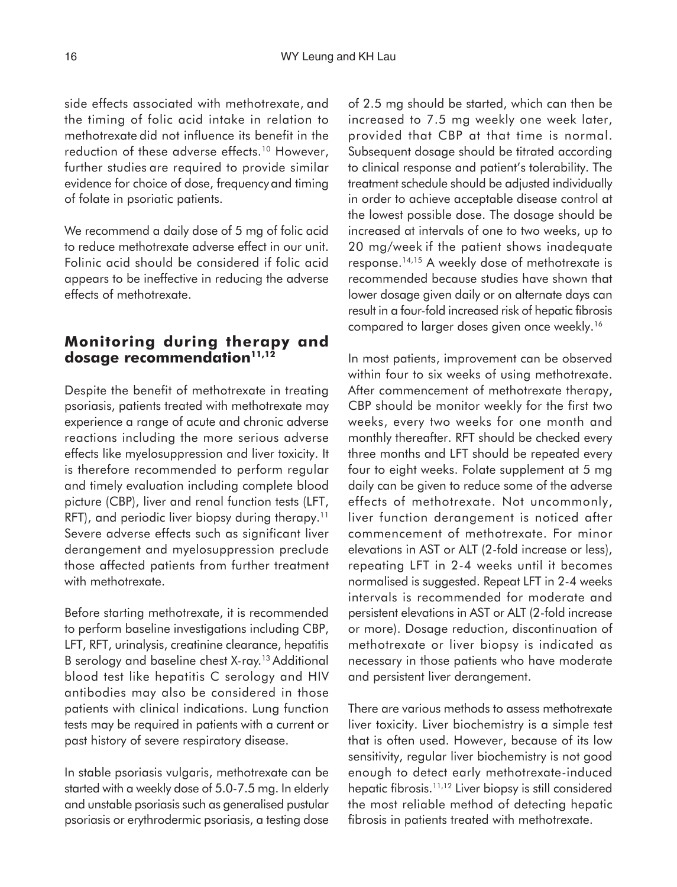side effects associated with methotrexate, and the timing of folic acid intake in relation to methotrexate did not influence its benefit in the reduction of these adverse effects.<sup>10</sup> However, further studies are required to provide similar evidence for choice of dose, frequency and timing of folate in psoriatic patients.

We recommend a daily dose of 5 mg of folic acid to reduce methotrexate adverse effect in our unit. Folinic acid should be considered if folic acid appears to be ineffective in reducing the adverse effects of methotrexate.

## **Monitoring during therapy and** dosage recommendation<sup>11,12</sup>

Despite the benefit of methotrexate in treating psoriasis, patients treated with methotrexate may experience a range of acute and chronic adverse reactions including the more serious adverse effects like myelosuppression and liver toxicity. It is therefore recommended to perform regular and timely evaluation including complete blood picture (CBP), liver and renal function tests (LFT, RFT), and periodic liver biopsy during therapy.<sup>11</sup> Severe adverse effects such as significant liver derangement and myelosuppression preclude those affected patients from further treatment with methotrexate.

Before starting methotrexate, it is recommended to perform baseline investigations including CBP, LFT, RFT, urinalysis, creatinine clearance, hepatitis B serology and baseline chest X-ray.13 Additional blood test like hepatitis C serology and HIV antibodies may also be considered in those patients with clinical indications. Lung function tests may be required in patients with a current or past history of severe respiratory disease.

In stable psoriasis vulgaris, methotrexate can be started with a weekly dose of 5.0-7.5 mg. In elderly and unstable psoriasis such as generalised pustular psoriasis or erythrodermic psoriasis, a testing dose of 2.5 mg should be started, which can then be increased to 7.5 mg weekly one week later, provided that CBP at that time is normal. Subsequent dosage should be titrated according to clinical response and patient's tolerability. The treatment schedule should be adjusted individually in order to achieve acceptable disease control at the lowest possible dose. The dosage should be increased at intervals of one to two weeks, up to 20 mg/week if the patient shows inadequate response.14,15 A weekly dose of methotrexate is recommended because studies have shown that lower dosage given daily or on alternate days can result in a four-fold increased risk of hepatic fibrosis compared to larger doses given once weekly.16

In most patients, improvement can be observed within four to six weeks of using methotrexate. After commencement of methotrexate therapy, CBP should be monitor weekly for the first two weeks, every two weeks for one month and monthly thereafter. RFT should be checked every three months and LFT should be repeated every four to eight weeks. Folate supplement at 5 mg daily can be given to reduce some of the adverse effects of methotrexate. Not uncommonly, liver function derangement is noticed after commencement of methotrexate. For minor elevations in AST or ALT (2-fold increase or less), repeating LFT in 2-4 weeks until it becomes normalised is suggested. Repeat LFT in 2-4 weeks intervals is recommended for moderate and persistent elevations in AST or ALT (2-fold increase or more). Dosage reduction, discontinuation of methotrexate or liver biopsy is indicated as necessary in those patients who have moderate and persistent liver derangement.

There are various methods to assess methotrexate liver toxicity. Liver biochemistry is a simple test that is often used. However, because of its low sensitivity, regular liver biochemistry is not good enough to detect early methotrexate-induced hepatic fibrosis.11,12 Liver biopsy is still considered the most reliable method of detecting hepatic fibrosis in patients treated with methotrexate.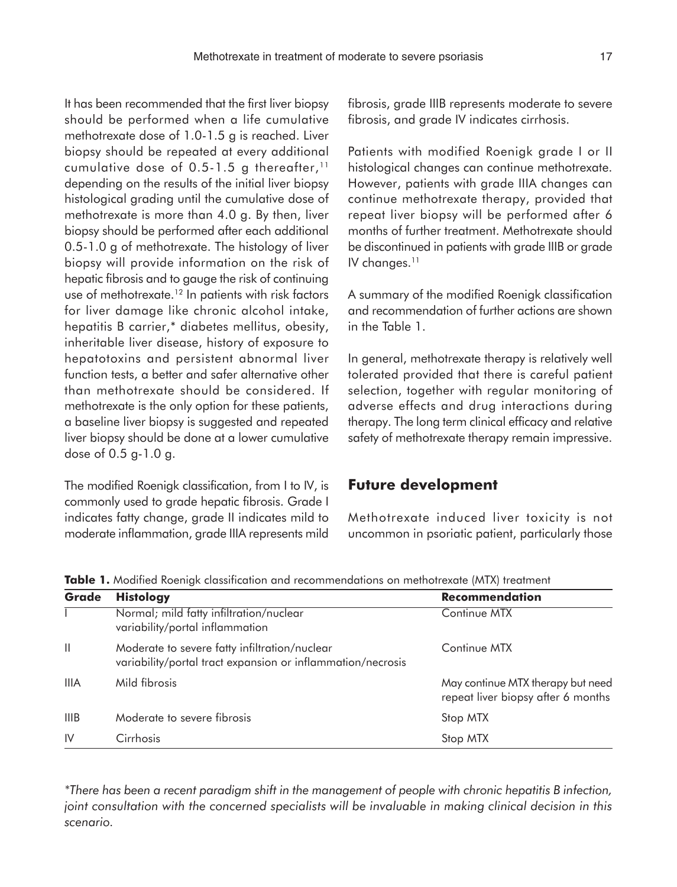It has been recommended that the first liver biopsy should be performed when a life cumulative methotrexate dose of 1.0-1.5 g is reached. Liver biopsy should be repeated at every additional cumulative dose of 0.5-1.5 g thereafter, $11$ depending on the results of the initial liver biopsy histological grading until the cumulative dose of methotrexate is more than 4.0 g. By then, liver biopsy should be performed after each additional 0.5-1.0 g of methotrexate. The histology of liver biopsy will provide information on the risk of hepatic fibrosis and to gauge the risk of continuing use of methotrexate.<sup>12</sup> In patients with risk factors for liver damage like chronic alcohol intake, hepatitis B carrier,\* diabetes mellitus, obesity, inheritable liver disease, history of exposure to hepatotoxins and persistent abnormal liver function tests, a better and safer alternative other than methotrexate should be considered. If methotrexate is the only option for these patients, a baseline liver biopsy is suggested and repeated liver biopsy should be done at a lower cumulative dose of 0.5 g-1.0 g.

The modified Roenigk classification, from I to IV, is commonly used to grade hepatic fibrosis. Grade I indicates fatty change, grade II indicates mild to moderate inflammation, grade IIIA represents mild fibrosis, grade IIIB represents moderate to severe fibrosis, and grade IV indicates cirrhosis.

Patients with modified Roenigk grade I or II histological changes can continue methotrexate. However, patients with grade IIIA changes can continue methotrexate therapy, provided that repeat liver biopsy will be performed after 6 months of further treatment. Methotrexate should be discontinued in patients with grade IIIB or grade IV changes.<sup>11</sup>

A summary of the modified Roenigk classification and recommendation of further actions are shown in the Table 1.

In general, methotrexate therapy is relatively well tolerated provided that there is careful patient selection, together with regular monitoring of adverse effects and drug interactions during therapy. The long term clinical efficacy and relative safety of methotrexate therapy remain impressive.

## **Future development**

Methotrexate induced liver toxicity is not uncommon in psoriatic patient, particularly those

| Grade        | <b>Histology</b>                                                                                             | <b>Recommendation</b>                                                   |
|--------------|--------------------------------------------------------------------------------------------------------------|-------------------------------------------------------------------------|
|              | Normal; mild fatty infiltration/nuclear<br>variability/portal inflammation                                   | Continue MTX                                                            |
| $\mathbf{H}$ | Moderate to severe fatty infiltration/nuclear<br>variability/portal tract expansion or inflammation/necrosis | Continue MTX                                                            |
| <b>IIIA</b>  | Mild fibrosis                                                                                                | May continue MTX therapy but need<br>repeat liver biopsy after 6 months |
| <b>IIIB</b>  | Moderate to severe fibrosis                                                                                  | Stop MTX                                                                |
| IV           | Cirrhosis                                                                                                    | Stop MTX                                                                |

**Table 1.** Modified Roenigk classification and recommendations on methotrexate (MTX) treatment

*\*There has been a recent paradigm shift in the management of people with chronic hepatitis B infection, joint consultation with the concerned specialists will be invaluable in making clinical decision in this scenario.*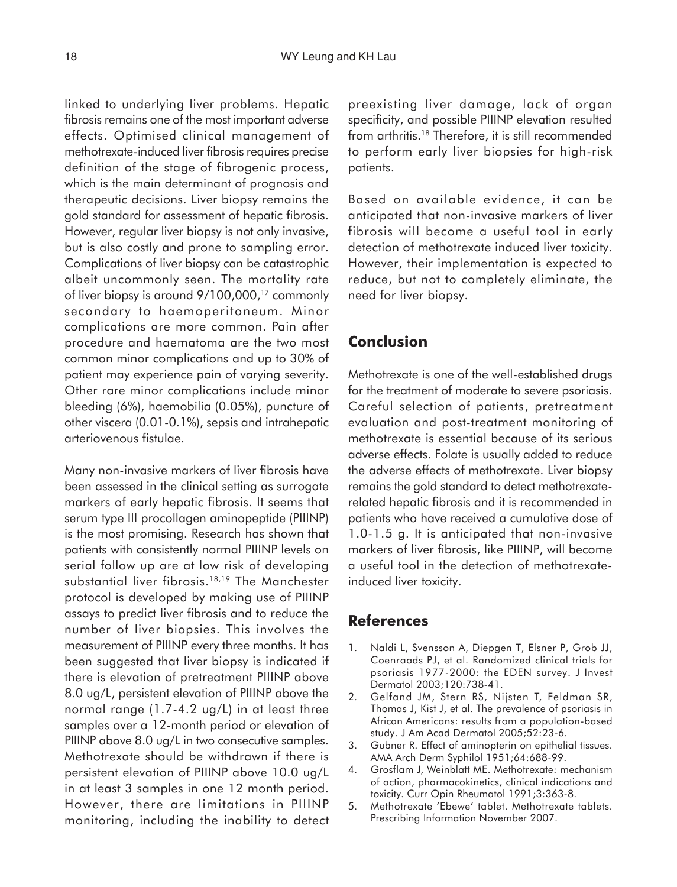linked to underlying liver problems. Hepatic fibrosis remains one of the most important adverse effects. Optimised clinical management of methotrexate-induced liver fibrosis requires precise definition of the stage of fibrogenic process, which is the main determinant of prognosis and therapeutic decisions. Liver biopsy remains the gold standard for assessment of hepatic fibrosis. However, regular liver biopsy is not only invasive, but is also costly and prone to sampling error. Complications of liver biopsy can be catastrophic albeit uncommonly seen. The mortality rate of liver biopsy is around 9/100,000,<sup>17</sup> commonly secondary to haemoperitoneum. Minor complications are more common. Pain after procedure and haematoma are the two most common minor complications and up to 30% of patient may experience pain of varying severity. Other rare minor complications include minor bleeding (6%), haemobilia (0.05%), puncture of other viscera (0.01-0.1%), sepsis and intrahepatic arteriovenous fistulae.

Many non-invasive markers of liver fibrosis have been assessed in the clinical setting as surrogate markers of early hepatic fibrosis. It seems that serum type III procollagen aminopeptide (PIIINP) is the most promising. Research has shown that patients with consistently normal PIIINP levels on serial follow up are at low risk of developing substantial liver fibrosis.<sup>18,19</sup> The Manchester protocol is developed by making use of PIIINP assays to predict liver fibrosis and to reduce the number of liver biopsies. This involves the measurement of PIIINP every three months. It has been suggested that liver biopsy is indicated if there is elevation of pretreatment PIIINP above 8.0 ug/L, persistent elevation of PIIINP above the normal range (1.7-4.2 ug/L) in at least three samples over a 12-month period or elevation of PIIINP above 8.0 ug/L in two consecutive samples. Methotrexate should be withdrawn if there is persistent elevation of PIIINP above 10.0 ug/L in at least 3 samples in one 12 month period. However, there are limitations in PIIINP monitoring, including the inability to detect preexisting liver damage, lack of organ specificity, and possible PIIINP elevation resulted from arthritis.18 Therefore, it is still recommended to perform early liver biopsies for high-risk patients.

Based on available evidence, it can be anticipated that non-invasive markers of liver fibrosis will become a useful tool in early detection of methotrexate induced liver toxicity. However, their implementation is expected to reduce, but not to completely eliminate, the need for liver biopsy.

## **Conclusion**

Methotrexate is one of the well-established drugs for the treatment of moderate to severe psoriasis. Careful selection of patients, pretreatment evaluation and post-treatment monitoring of methotrexate is essential because of its serious adverse effects. Folate is usually added to reduce the adverse effects of methotrexate. Liver biopsy remains the gold standard to detect methotrexaterelated hepatic fibrosis and it is recommended in patients who have received a cumulative dose of 1.0-1.5 g. It is anticipated that non-invasive markers of liver fibrosis, like PIIINP, will become a useful tool in the detection of methotrexateinduced liver toxicity.

## **References**

- 1. Naldi L, Svensson A, Diepgen T, Elsner P, Grob JJ, Coenraads PJ, et al. Randomized clinical trials for psoriasis 1977-2000: the EDEN survey. J Invest Dermatol 2003;120:738-41.
- 2. Gelfand JM, Stern RS, Nijsten T, Feldman SR, Thomas J, Kist J, et al. The prevalence of psoriasis in African Americans: results from a population-based study. J Am Acad Dermatol 2005;52:23-6.
- 3. Gubner R. Effect of aminopterin on epithelial tissues. AMA Arch Derm Syphilol 1951;64:688-99.
- 4. Grosflam J, Weinblatt ME. Methotrexate: mechanism of action, pharmacokinetics, clinical indications and toxicity. Curr Opin Rheumatol 1991;3:363-8.
- 5. Methotrexate 'Ebewe' tablet. Methotrexate tablets. Prescribing Information November 2007.